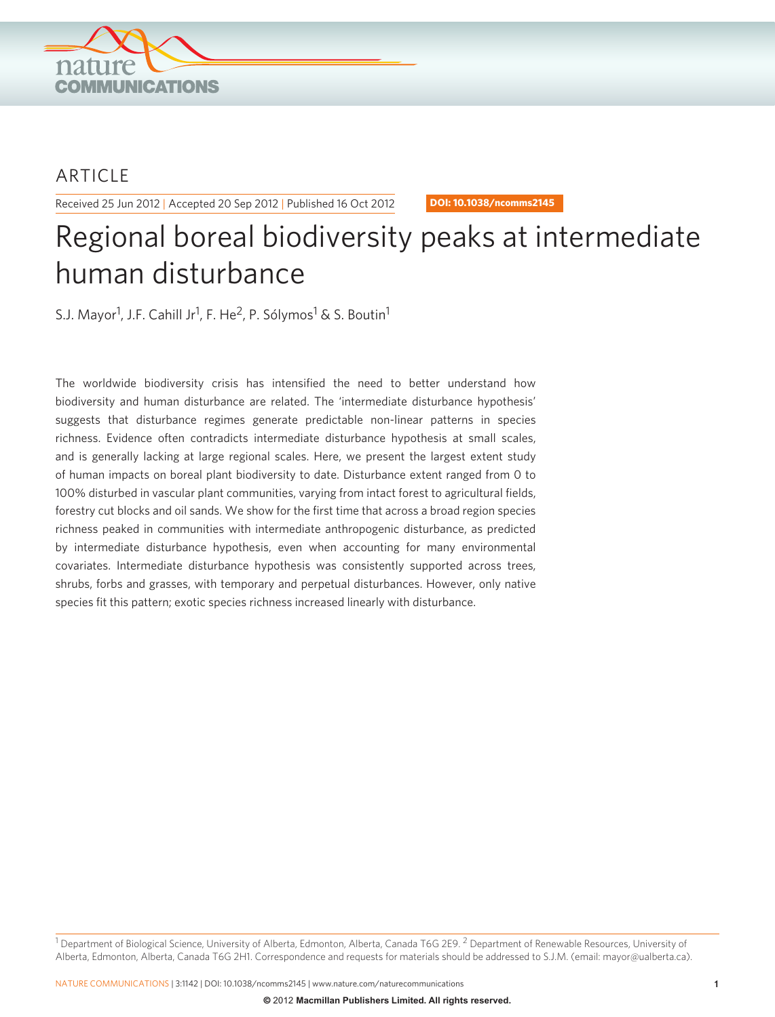

# ARTICLE

Received 25 Jun 2012 | Accepted 20 Sep 2012 | Published 16 Oct 2012 **DOI: 10.1038/ncomms2145**

# Regional boreal biodiversity peaks at intermediate human disturbance

S.J. Mayor<sup>1</sup>, J.F. Cahill Jr<sup>1</sup>, F. He<sup>2</sup>, P. Sólymos<sup>1</sup> & S. Boutin<sup>1</sup>

The worldwide biodiversity crisis has intensified the need to better understand how biodiversity and human disturbance are related. The 'intermediate disturbance hypothesis' suggests that disturbance regimes generate predictable non-linear patterns in species richness. Evidence often contradicts intermediate disturbance hypothesis at small scales, and is generally lacking at large regional scales. Here, we present the largest extent study of human impacts on boreal plant biodiversity to date. Disturbance extent ranged from 0 to 100% disturbed in vascular plant communities, varying from intact forest to agricultural fields, forestry cut blocks and oil sands. We show for the first time that across a broad region species richness peaked in communities with intermediate anthropogenic disturbance, as predicted by intermediate disturbance hypothesis, even when accounting for many environmental covariates. Intermediate disturbance hypothesis was consistently supported across trees, shrubs, forbs and grasses, with temporary and perpetual disturbances. However, only native species fit this pattern; exotic species richness increased linearly with disturbance.

<sup>1</sup> Department of Biological Science, University of Alberta, Edmonton, Alberta, Canada T6G 2E9. <sup>2</sup> Department of Renewable Resources, University of Alberta, Edmonton, Alberta, Canada T6G 2H1. Correspondence and requests for materials should be addressed to S.J.M. (email: mayor@ualberta.ca).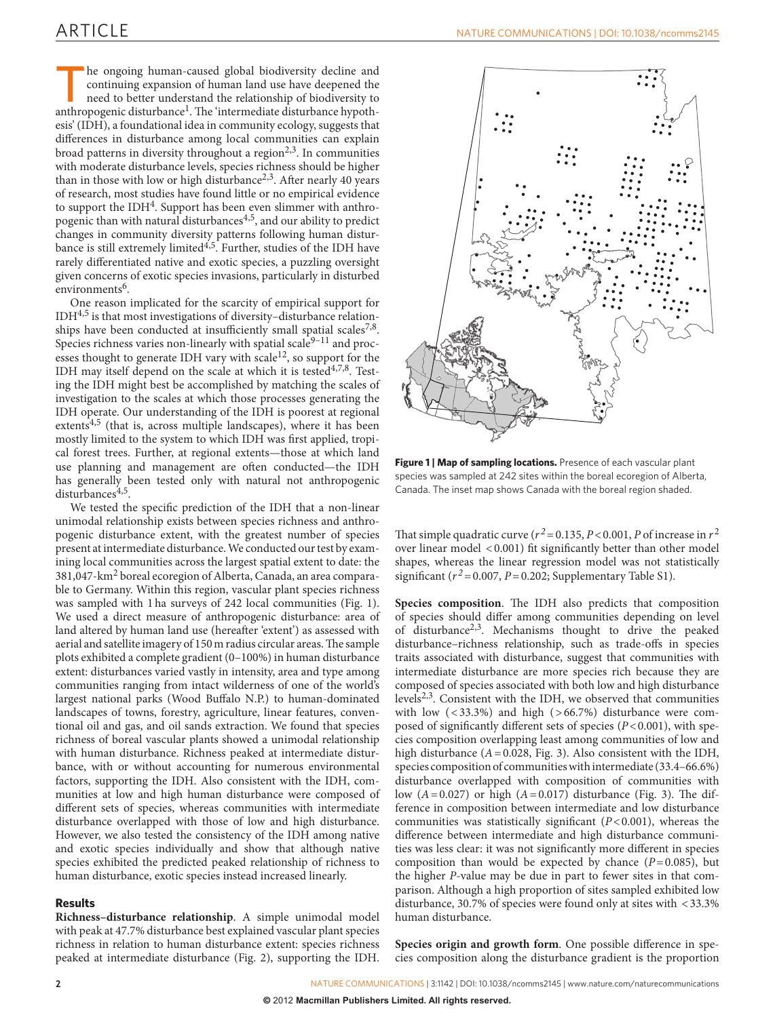The ongoing human-caused global biodiversity decline and<br>continuing expansion of human land use have deepened the<br>need to better understand the relationship of biodiversity to<br>anthropogenic disturbance<sup>l</sup> The 'intermediate continuing expansion of human land use have deepened the need to better understand the relationship of biodiversity to anthropogenic disturbance<sup>1</sup>. The 'intermediate disturbance hypothesis' (IDH), a foundational idea in community ecology, suggests that differences in disturbance among local communities can explain broad patterns in diversity throughout a region<sup> $2,3$ </sup>. In communities with moderate disturbance levels, species richness should be higher than in those with low or high disturbance<sup>[2,3](#page-4-1)</sup>. After nearly 40 years of research, most studies have found little or no empirical evidence to support the IDH<sup>4</sup>. Support has been even slimmer with anthropogenic than with natural disturbances<sup>4,5</sup>, and our ability to predict changes in community diversity patterns following human disturbance is still extremely limited<sup>4,5</sup>. Further, studies of the IDH have rarely differentiated native and exotic species, a puzzling oversight given concerns of exotic species invasions, particularly in disturbed environments<sup>[6](#page-4-3)</sup>.

One reason implicated for the scarcity of empirical support for IDH[4,5](#page-4-2) is that most investigations of diversity–disturbance relationships have been conducted at insufficiently small spatial scales<sup>7,8</sup>. Species richness varies non-linearly with spatial scale $9-11$  and processes thought to generate IDH vary with scale<sup>12</sup>, so support for the IDH may itself depend on the scale at which it is tested $4,7,8$ . Testing the IDH might best be accomplished by matching the scales of investigation to the scales at which those processes generating the IDH operate. Our understanding of the IDH is poorest at regional extents $4.5$  (that is, across multiple landscapes), where it has been mostly limited to the system to which IDH was first applied, tropical forest trees. Further, at regional extents—those at which land use planning and management are often conducted—the IDH has generally been tested only with natural not anthropogenic disturbances<sup>[4,5](#page-4-2)</sup>.

We tested the specific prediction of the IDH that a non-linear unimodal relationship exists between species richness and anthropogenic disturbance extent, with the greatest number of species present at intermediate disturbance. We conducted our test by examining local communities across the largest spatial extent to date: the 381,047-km2 boreal ecoregion of Alberta, Canada, an area comparable to Germany. Within this region, vascular plant species richness was sampled with 1ha surveys of 242 local communities ([Fig. 1](#page-1-0)). We used a direct measure of anthropogenic disturbance: area of land altered by human land use (hereafter 'extent') as assessed with aerial and satellite imagery of 150m radius circular areas. The sample plots exhibited a complete gradient (0–100%) in human disturbance extent: disturbances varied vastly in intensity, area and type among communities ranging from intact wilderness of one of the world's largest national parks (Wood Buffalo N.P.) to human-dominated landscapes of towns, forestry, agriculture, linear features, conventional oil and gas, and oil sands extraction. We found that species richness of boreal vascular plants showed a unimodal relationship with human disturbance. Richness peaked at intermediate disturbance, with or without accounting for numerous environmental factors, supporting the IDH. Also consistent with the IDH, communities at low and high human disturbance were composed of different sets of species, whereas communities with intermediate disturbance overlapped with those of low and high disturbance. However, we also tested the consistency of the IDH among native and exotic species individually and show that although native species exhibited the predicted peaked relationship of richness to human disturbance, exotic species instead increased linearly.

# **Results**

**Richness–disturbance relationship**. A simple unimodal model with peak at 47.7% disturbance best explained vascular plant species richness in relation to human disturbance extent: species richness peaked at intermediate disturbance [\(Fig. 2\)](#page-2-0), supporting the IDH.



<span id="page-1-0"></span>Figure 1 | Map of sampling locations. Presence of each vascular plant species was sampled at 242 sites within the boreal ecoregion of Alberta, Canada. The inset map shows Canada with the boreal region shaded.

That simple quadratic curve ( $r^2$  = 0.135, *P* < 0.001, *P* of increase in  $r^2$ over linear model <0.001) fit significantly better than other model shapes, whereas the linear regression model was not statistically significant ( $r^2$ =0.007, *P*=0.202; Supplementary Table S1).

**Species composition**. The IDH also predicts that composition of species should differ among communities depending on level of disturbance[2,3](#page-4-1). Mechanisms thought to drive the peaked disturbance–richness relationship, such as trade-offs in species traits associated with disturbance, suggest that communities with intermediate disturbance are more species rich because they are composed of species associated with both low and high disturbance levels<sup>2,3</sup>. Consistent with the IDH, we observed that communities with low  $( $33.3\%$ )$  and high  $( $66.7\%$ )$  disturbance were composed of significantly different sets of species (*P*<0.001), with species composition overlapping least among communities of low and high disturbance (*A*=0.028, [Fig. 3](#page-2-1)). Also consistent with the IDH, species composition of communities with intermediate (33.4–66.6%) disturbance overlapped with composition of communities with low  $(A=0.027)$  or high  $(A=0.017)$  disturbance ([Fig. 3\)](#page-2-1). The difference in composition between intermediate and low disturbance communities was statistically significant (*P*<0.001), whereas the difference between intermediate and high disturbance communities was less clear: it was not significantly more different in species composition than would be expected by chance  $(P=0.085)$ , but the higher *P*-value may be due in part to fewer sites in that comparison. Although a high proportion of sites sampled exhibited low disturbance, 30.7% of species were found only at sites with <33.3% human disturbance.

**Species origin and growth form**. One possible difference in species composition along the disturbance gradient is the proportion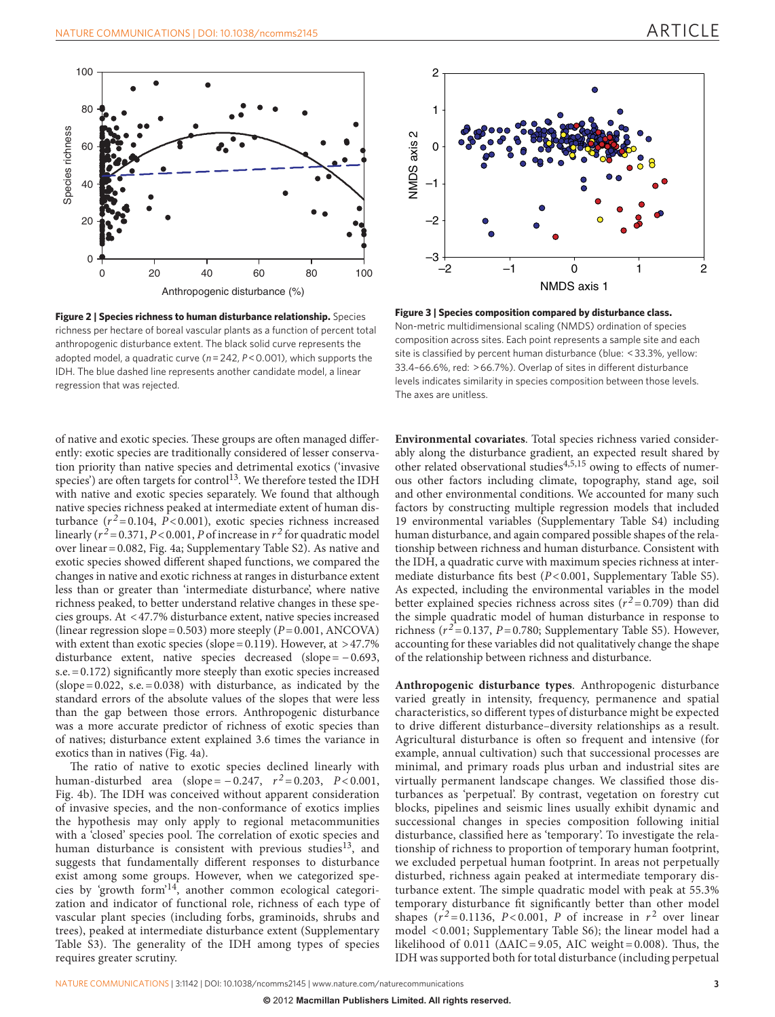

<span id="page-2-0"></span>**Figure 2 | Species richness to human disturbance relationship.** Species richness per hectare of boreal vascular plants as a function of percent total anthropogenic disturbance extent. The black solid curve represents the adopted model, a quadratic curve (*n*=242, *P*<0.001), which supports the IDH. The blue dashed line represents another candidate model, a linear regression that was rejected.

of native and exotic species. These groups are often managed differently: exotic species are traditionally considered of lesser conservation priority than native species and detrimental exotics ('invasive species') are often targets for control<sup>13</sup>. We therefore tested the IDH with native and exotic species separately. We found that although native species richness peaked at intermediate extent of human disturbance  $(r^2 = 0.104, P < 0.001)$ , exotic species richness increased linearly  $(r^2 = 0.371, P < 0.001, P$  of increase in  $r^2$  for quadratic model over linear=0.082, [Fig. 4a](#page-3-0); Supplementary Table S2). As native and exotic species showed different shaped functions, we compared the changes in native and exotic richness at ranges in disturbance extent less than or greater than 'intermediate disturbance', where native richness peaked, to better understand relative changes in these species groups. At <47.7% disturbance extent, native species increased (linear regression slope =  $0.503$ ) more steeply ( $P = 0.001$ , ANCOVA) with extent than exotic species (slope =  $0.119$ ). However, at >47.7% disturbance extent, native species decreased (slope =  $-0.693$ , s.e.=0.172) significantly more steeply than exotic species increased  $(slope = 0.022, s.e. = 0.038)$  with disturbance, as indicated by the standard errors of the absolute values of the slopes that were less than the gap between those errors. Anthropogenic disturbance was a more accurate predictor of richness of exotic species than of natives; disturbance extent explained 3.6 times the variance in exotics than in natives [\(Fig. 4a\)](#page-3-0).

The ratio of native to exotic species declined linearly with human-disturbed area (slope =  $-0.247$ ,  $r^2 = 0.203$ ,  $P < 0.001$ , [Fig. 4b\)](#page-3-0). The IDH was conceived without apparent consideration of invasive species, and the non-conformance of exotics implies the hypothesis may only apply to regional metacommunities with a 'closed' species pool. The correlation of exotic species and human disturbance is consistent with previous studies<sup>[13](#page-4-7)</sup>, and suggests that fundamentally different responses to disturbance exist among some groups. However, when we categorized species by 'growth form'[14,](#page-4-8) another common ecological categorization and indicator of functional role, richness of each type of vascular plant species (including forbs, graminoids, shrubs and trees), peaked at intermediate disturbance extent (Supplementary Table S3). The generality of the IDH among types of species requires greater scrutiny.



<span id="page-2-1"></span>**Figure 3 | Species composition compared by disturbance class.** Non-metric multidimensional scaling (NMDS) ordination of species composition across sites. Each point represents a sample site and each site is classified by percent human disturbance (blue: <33.3%, yellow: 33.4–66.6%, red: >66.7%). Overlap of sites in different disturbance levels indicates similarity in species composition between those levels. The axes are unitless.

**Environmental covariates**. Total species richness varied considerably along the disturbance gradient, an expected result shared by other related observational studies<sup>4,5,15</sup> owing to effects of numerous other factors including climate, topography, stand age, soil and other environmental conditions. We accounted for many such factors by constructing multiple regression models that included 19 environmental variables (Supplementary Table S4) including human disturbance, and again compared possible shapes of the relationship between richness and human disturbance. Consistent with the IDH, a quadratic curve with maximum species richness at intermediate disturbance fits best (*P*<0.001, Supplementary Table S5). As expected, including the environmental variables in the model better explained species richness across sites  $(r^2 = 0.709)$  than did the simple quadratic model of human disturbance in response to richness ( $r^2$ =0.137, *P*=0.780; Supplementary Table S5). However, accounting for these variables did not qualitatively change the shape of the relationship between richness and disturbance.

**Anthropogenic disturbance types**. Anthropogenic disturbance varied greatly in intensity, frequency, permanence and spatial characteristics, so different types of disturbance might be expected to drive different disturbance–diversity relationships as a result. Agricultural disturbance is often so frequent and intensive (for example, annual cultivation) such that successional processes are minimal, and primary roads plus urban and industrial sites are virtually permanent landscape changes. We classified those disturbances as 'perpetual'. By contrast, vegetation on forestry cut blocks, pipelines and seismic lines usually exhibit dynamic and successional changes in species composition following initial disturbance, classified here as 'temporary'. To investigate the relationship of richness to proportion of temporary human footprint, we excluded perpetual human footprint. In areas not perpetually disturbed, richness again peaked at intermediate temporary disturbance extent. The simple quadratic model with peak at 55.3% temporary disturbance fit significantly better than other model shapes  $(r^2 = 0.1136, P < 0.001, P$  of increase in  $r^2$  over linear model < 0.001; Supplementary Table S6); the linear model had a likelihood of 0.011 ( $\triangle AIC = 9.05$ , AIC weight=0.008). Thus, the IDH was supported both for total disturbance (including perpetual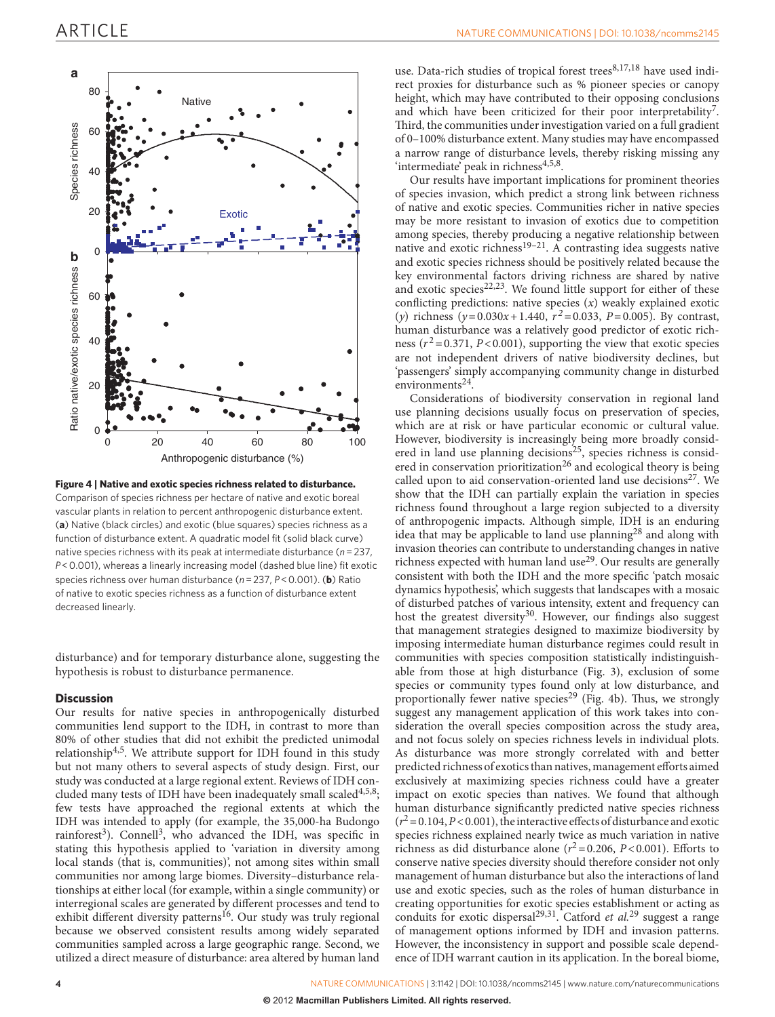

<span id="page-3-0"></span>Comparison of species richness per hectare of native and exotic boreal vascular plants in relation to percent anthropogenic disturbance extent. (**a**) Native (black circles) and exotic (blue squares) species richness as a function of disturbance extent. A quadratic model fit (solid black curve) native species richness with its peak at intermediate disturbance (*n*=237, *P*<0.001), whereas a linearly increasing model (dashed blue line) fit exotic species richness over human disturbance (*n*=237, *P*<0.001). (**b**) Ratio of native to exotic species richness as a function of disturbance extent

disturbance) and for temporary disturbance alone, suggesting the hypothesis is robust to disturbance permanence.

# **Discussion**

decreased linearly.

Our results for native species in anthropogenically disturbed communities lend support to the IDH, in contrast to more than 80% of other studies that did not exhibit the predicted unimodal relationship[4,5.](#page-4-2) We attribute support for IDH found in this study but not many others to several aspects of study design. First, our study was conducted at a large regional extent. Reviews of IDH concluded many tests of IDH have been inadequately small scaled<sup>4,5,8</sup>; few tests have approached the regional extents at which the IDH was intended to apply (for example, the 35,000-ha Budongo rainforest<sup>[3](#page-4-9)</sup>). Connell<sup>3</sup>, who advanced the IDH, was specific in stating this hypothesis applied to 'variation in diversity among local stands (that is, communities)', not among sites within small communities nor among large biomes. Diversity–disturbance relationships at either local (for example, within a single community) or interregional scales are generated by different processes and tend to exhibit different diversity patterns<sup>16</sup>. Our study was truly regional because we observed consistent results among widely separated communities sampled across a large geographic range. Second, we utilized a direct measure of disturbance: area altered by human land

use. Data-rich studies of tropical forest trees<sup>8,17,18</sup> have used indirect proxies for disturbance such as % pioneer species or canopy height, which may have contributed to their opposing conclusions and which have been criticized for their poor interpretability<sup>7</sup>. Third, the communities under investigation varied on a full gradient of 0–100% disturbance extent. Many studies may have encompassed a narrow range of disturbance levels, thereby risking missing any 'intermediate' peak in richness<sup>4,5,8</sup>.

Our results have important implications for prominent theories of species invasion, which predict a strong link between richness of native and exotic species. Communities richer in native species may be more resistant to invasion of exotics due to competition among species, thereby producing a negative relationship between native and exotic richness<sup>19–21</sup>. A contrasting idea suggests native and exotic species richness should be positively related because the key environmental factors driving richness are shared by native and exotic species<sup>22,23</sup>. We found little support for either of these conflicting predictions: native species (*x*) weakly explained exotic (*y*) richness ( $y = 0.030x + 1.440$ ,  $r^2 = 0.033$ ,  $P = 0.005$ ). By contrast, human disturbance was a relatively good predictor of exotic richness ( $r^2$ =0.371, *P*<0.001), supporting the view that exotic species are not independent drivers of native biodiversity declines, but 'passengers' simply accompanying community change in disturbed environments<sup>24</sup>.

Considerations of biodiversity conservation in regional land use planning decisions usually focus on preservation of species, which are at risk or have particular economic or cultural value. However, biodiversity is increasingly being more broadly consid-ered in land use planning decisions<sup>[25](#page-4-15)</sup>, species richness is considered in conservation prioritization<sup>26</sup> and ecological theory is being called upon to aid conservation-oriented land use decisions<sup>27</sup>. We show that the IDH can partially explain the variation in species richness found throughout a large region subjected to a diversity of anthropogenic impacts. Although simple, IDH is an enduring idea that may be applicable to land use planning<sup>28</sup> and along with invasion theories can contribute to understanding changes in native richness expected with human land use<sup>[29](#page-4-19)</sup>. Our results are generally consistent with both the IDH and the more specific 'patch mosaic dynamics hypothesis', which suggests that landscapes with a mosaic of disturbed patches of various intensity, extent and frequency can host the greatest diversity<sup>30</sup>. However, our findings also suggest that management strategies designed to maximize biodiversity by imposing intermediate human disturbance regimes could result in communities with species composition statistically indistinguishable from those at high disturbance [\(Fig. 3\)](#page-2-1), exclusion of some species or community types found only at low disturbance, and proportionally fewer native species<sup>29</sup> [\(Fig. 4b\)](#page-3-0). Thus, we strongly suggest any management application of this work takes into consideration the overall species composition across the study area, and not focus solely on species richness levels in individual plots. As disturbance was more strongly correlated with and better predicted richness of exotics than natives, management efforts aimed exclusively at maximizing species richness could have a greater impact on exotic species than natives. We found that although human disturbance significantly predicted native species richness  $(r^2=0.104, P<0.001)$ , the interactive effects of disturbance and exotic species richness explained nearly twice as much variation in native richness as did disturbance alone  $(r^2 = 0.206, P < 0.001)$ . Efforts to conserve native species diversity should therefore consider not only management of human disturbance but also the interactions of land use and exotic species, such as the roles of human disturbance in creating opportunities for exotic species establishment or acting as conduits for exotic dispersal[29,31.](#page-4-19) Catford *et al.*[29](#page-4-19) suggest a range of management options informed by IDH and invasion patterns. However, the inconsistency in support and possible scale dependence of IDH warrant caution in its application. In the boreal biome,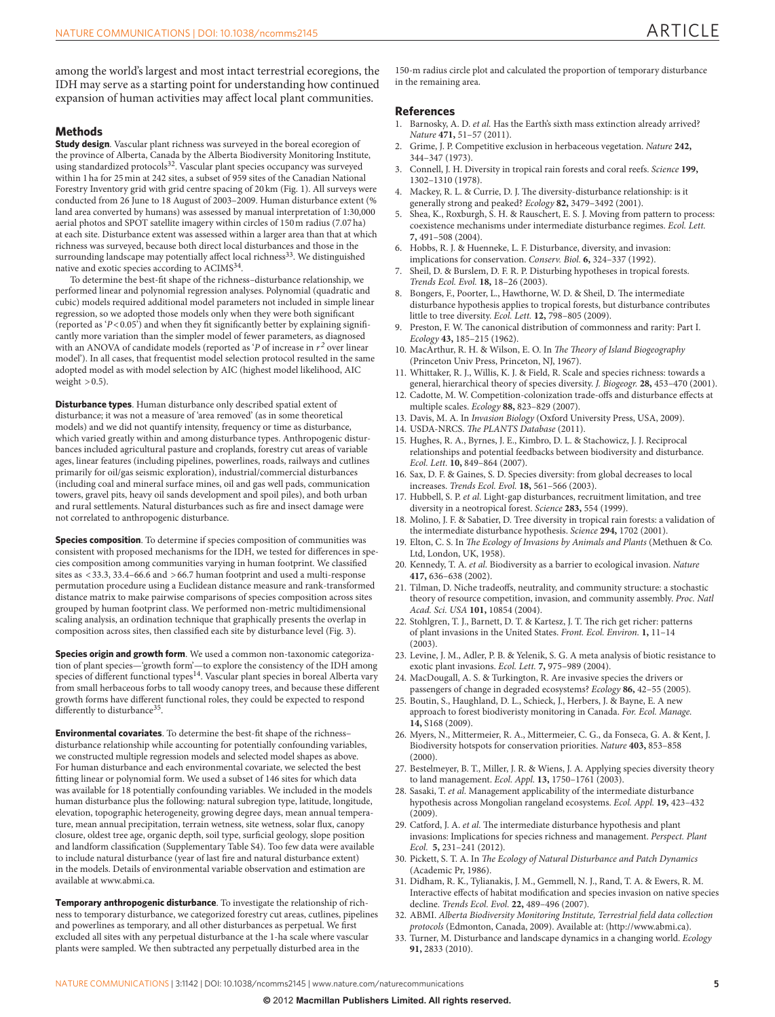among the world's largest and most intact terrestrial ecoregions, the IDH may serve as a starting point for understanding how continued expansion of human activities may affect local plant communities.

## **Methods**

**Study design**. Vascular plant richness was surveyed in the boreal ecoregion of the province of Alberta, Canada by the Alberta Biodiversity Monitoring Institute, using standardized protocols<sup>[32](#page-4-21)</sup>. Vascular plant species occupancy was surveyed within 1ha for 25min at 242 sites, a subset of 959 sites of the Canadian National Forestry Inventory grid with grid centre spacing of 20 km [\(Fig. 1](#page-1-0)). All surveys were conducted from 26 June to 18 August of 2003–2009. Human disturbance extent (% land area converted by humans) was assessed by manual interpretation of 1:30,000 aerial photos and SPOT satellite imagery within circles of 150m radius (7.07ha) at each site. Disturbance extent was assessed within a larger area than that at which richness was surveyed, because both direct local disturbances and those in the surrounding landscape may potentially affect local richness<sup>[33](#page-4-22)</sup>. We distinguished native and exotic species according to ACIM[S34](#page-5-0).

To determine the best-fit shape of the richness–disturbance relationship, we performed linear and polynomial regression analyses. Polynomial (quadratic and cubic) models required additional model parameters not included in simple linear regression, so we adopted those models only when they were both significant (reported as '*P*<0.05') and when they fit significantly better by explaining significantly more variation than the simpler model of fewer parameters, as diagnosed with an ANOVA of candidate models (reported as  $\gamma$  of increase in  $r^2$  over linear model'). In all cases, that frequentist model selection protocol resulted in the same adopted model as with model selection by AIC (highest model likelihood, AIC weight  $>0.5$ ).

**Disturbance types**. Human disturbance only described spatial extent of disturbance; it was not a measure of 'area removed' (as in some theoretical models) and we did not quantify intensity, frequency or time as disturbance, which varied greatly within and among disturbance types. Anthropogenic disturbances included agricultural pasture and croplands, forestry cut areas of variable ages, linear features (including pipelines, powerlines, roads, railways and cutlines primarily for oil/gas seismic exploration), industrial/commercial disturbances (including coal and mineral surface mines, oil and gas well pads, communication towers, gravel pits, heavy oil sands development and spoil piles), and both urban and rural settlements. Natural disturbances such as fire and insect damage were not correlated to anthropogenic disturbance.

**Species composition**. To determine if species composition of communities was consistent with proposed mechanisms for the IDH, we tested for differences in species composition among communities varying in human footprint. We classified sites as  $<$  33.3, 33.4–66.6 and  $>$  66.7 human footprint and used a multi-response permutation procedure using a Euclidean distance measure and rank-transformed distance matrix to make pairwise comparisons of species composition across sites grouped by human footprint class. We performed non-metric multidimensional scaling analysis, an ordination technique that graphically presents the overlap in composition across sites, then classified each site by disturbance level ([Fig. 3](#page-2-1)).

**Species origin and growth form**. We used a common non-taxonomic categorization of plant species—'growth form'—to explore the consistency of the IDH among species of different functional types<sup>14</sup>. Vascular plant species in boreal Alberta vary from small herbaceous forbs to tall woody canopy trees, and because these different growth forms have different functional roles, they could be expected to respond differently to disturbance<sup>35</sup>.

**Environmental covariates**. To determine the best-fit shape of the richness– disturbance relationship while accounting for potentially confounding variables, we constructed multiple regression models and selected model shapes as above. For human disturbance and each environmental covariate, we selected the best fitting linear or polynomial form. We used a subset of 146 sites for which data was available for 18 potentially confounding variables. We included in the models human disturbance plus the following: natural subregion type, latitude, longitude, elevation, topographic heterogeneity, growing degree days, mean annual temperature, mean annual precipitation, terrain wetness, site wetness, solar flux, canopy closure, oldest tree age, organic depth, soil type, surficial geology, slope position and landform classification (Supplementary Table S4). Too few data were available to include natural disturbance (year of last fire and natural disturbance extent) in the models. Details of environmental variable observation and estimation are available at www.abmi.ca.

**Temporary anthropogenic disturbance**. To investigate the relationship of richness to temporary disturbance, we categorized forestry cut areas, cutlines, pipelines and powerlines as temporary, and all other disturbances as perpetual. We first excluded all sites with any perpetual disturbance at the 1-ha scale where vascular plants were sampled. We then subtracted any perpetually disturbed area in the

150-m radius circle plot and calculated the proportion of temporary disturbance in the remaining area.

#### **References**

- <span id="page-4-0"></span>1. Barnosky, A. D. *et al.* Has the Earth's sixth mass extinction already arrived? *Nature* **471,** 51–57 (2011).
- <span id="page-4-1"></span>2. Grime, J. P. Competitive exclusion in herbaceous vegetation. *Nature* **242,** 344–347 (1973).
- <span id="page-4-9"></span>3. Connell, J. H. Diversity in tropical rain forests and coral reefs. *Science* **199,** 1302–1310 (1978).
- <span id="page-4-2"></span>4. Mackey, R. L. & Currie, D. J. The diversity-disturbance relationship: is it generally strong and peaked? *Ecology* **82,** 3479–3492 (2001).
- Shea, K., Roxburgh, S. H. & Rauschert, E. S. J. Moving from pattern to process: coexistence mechanisms under intermediate disturbance regimes. *Ecol. Lett.* **7,** 491–508 (2004).
- <span id="page-4-3"></span>6. Hobbs, R. J. & Huenneke, L. F. Disturbance, diversity, and invasion: implications for conservation. *Conserv. Biol.* **6,** 324–337 (1992).
- <span id="page-4-4"></span>Sheil, D. & Burslem, D. F. R. P. Disturbing hypotheses in tropical forests. *Trends Ecol. Evol.* **18,** 18–26 (2003).
- <span id="page-4-11"></span>8. Bongers, F., Poorter, L., Hawthorne, W. D. & Sheil, D. The intermediate disturbance hypothesis applies to tropical forests, but disturbance contributes little to tree diversity. *Ecol. Lett.* **12,** 798–805 (2009).
- <span id="page-4-5"></span>9. Preston, F. W. The canonical distribution of commonness and rarity: Part I. *Ecology* **43,** 185–215 (1962).
- 10. MacArthur, R. H. & Wilson, E. O. In *The Theory of Island Biogeography* (Princeton Univ Press, Princeton, NJ, 1967).
- 11. Whittaker, R. J., Willis, K. J. & Field, R. Scale and species richness: towards a general, hierarchical theory of species diversity. *J. Biogeogr.* **28,** 453–470 (2001).
- <span id="page-4-6"></span>12. Cadotte, M. W. Competition-colonization trade-offs and disturbance effects at multiple scales. *Ecology* **88,** 823–829 (2007).
- <span id="page-4-7"></span>13. Davis, M. A. In *Invasion Biology* (Oxford University Press, USA, 2009).
- <span id="page-4-8"></span>14. USDA-NRCS. *The PLANTS Database* (2011).
- 15. Hughes, R. A., Byrnes, J. E., Kimbro, D. L. & Stachowicz, J. J. Reciprocal relationships and potential feedbacks between biodiversity and disturbance. *Ecol. Lett.* **10,** 849–864 (2007).
- <span id="page-4-10"></span>16. Sax, D. F. & Gaines, S. D. Species diversity: from global decreases to local increases. *Trends Ecol. Evol.* **18,** 561–566 (2003).
- 17. Hubbell, S. P. *et al.* Light-gap disturbances, recruitment limitation, and tree diversity in a neotropical forest. *Science* **283,** 554 (1999).
- 18. Molino, J. F. & Sabatier, D. Tree diversity in tropical rain forests: a validation of the intermediate disturbance hypothesis. *Science* **294,** 1702 (2001).
- <span id="page-4-12"></span>19. Elton, C. S. In *The Ecology of Invasions by Animals and Plants* (Methuen & Co. Ltd, London, UK, 1958).
- 20. Kennedy, T. A. *et al.* Biodiversity as a barrier to ecological invasion. *Nature* **417,** 636–638 (2002).
- 21. Tilman, D. Niche tradeoffs, neutrality, and community structure: a stochastic theory of resource competition, invasion, and community assembly. *Proc. Natl Acad. Sci. USA* **101,** 10854 (2004).
- <span id="page-4-13"></span>22. Stohlgren, T. J., Barnett, D. T. & Kartesz, J. T. The rich get richer: patterns of plant invasions in the United States. *Front. Ecol. Environ.* **1,** 11–14  $(2003)$
- 23. Levine, J. M., Adler, P. B. & Yelenik, S. G. A meta analysis of biotic resistance to exotic plant invasions. *Ecol. Lett.* **7,** 975–989 (2004).
- <span id="page-4-14"></span>24. MacDougall, A. S. & Turkington, R. Are invasive species the drivers or passengers of change in degraded ecosystems? *Ecology* **86,** 42–55 (2005).
- <span id="page-4-15"></span>25. Boutin, S., Haughland, D. L., Schieck, J., Herbers, J. & Bayne, E. A new approach to forest biodiveristy monitoring in Canada. *For. Ecol. Manage.* **14,** S168 (2009).
- <span id="page-4-16"></span>26. Myers, N., Mittermeier, R. A., Mittermeier, C. G., da Fonseca, G. A. & Kent, J. Biodiversity hotspots for conservation priorities. *Nature* **403,** 853–858  $(2000)$
- <span id="page-4-17"></span>27. Bestelmeyer, B. T., Miller, J. R. & Wiens, J. A. Applying species diversity theory to land management. *Ecol. Appl.* **13,** 1750–1761 (2003).
- <span id="page-4-18"></span>28. Sasaki, T. *et al.* Management applicability of the intermediate disturbance hypothesis across Mongolian rangeland ecosystems. *Ecol. Appl.* **19,** 423–432  $(2009)$
- <span id="page-4-19"></span>29. Catford, J. A. *et al.* The intermediate disturbance hypothesis and plant invasions: Implications for species richness and management. *Perspect. Plant Ecol.* **5,** 231–241 (2012).
- <span id="page-4-20"></span>30. Pickett, S. T. A. In *The Ecology of Natural Disturbance and Patch Dynamics* (Academic Pr, 1986).
- 31. Didham, R. K., Tylianakis, J. M., Gemmell, N. J., Rand, T. A. & Ewers, R. M. Interactive effects of habitat modification and species invasion on native species decline. *Trends Ecol. Evol.* **22,** 489–496 (2007).
- <span id="page-4-21"></span>32. ABMI. *Alberta Biodiversity Monitoring Institute, Terrestrial field data collection protocols* (Edmonton, Canada, 2009). Available at: (http://www.abmi.ca).
- <span id="page-4-22"></span>33. Turner, M. Disturbance and landscape dynamics in a changing world. *Ecology* **91,** 2833 (2010).